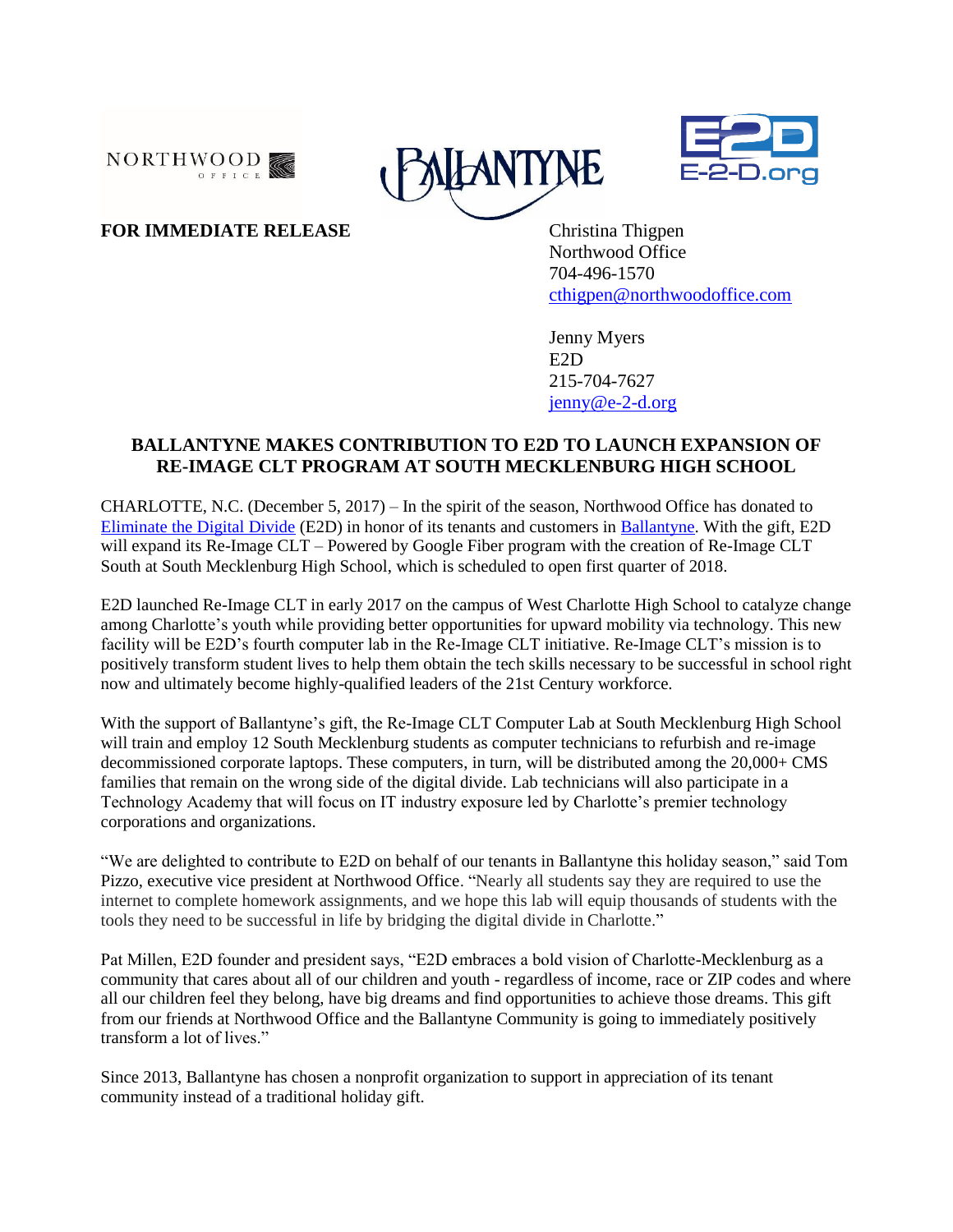





# **FOR IMMEDIATE RELEASE** Christina Thigpen

Northwood Office 704-496-1570 [cthigpen@northwoodoffice.com](mailto:cthigpen@northwoodoffice.com)

Jenny Myers E2D 215-704-7627 [jenny@e-2-d.org](mailto:jenny@e-2-d.org)

## **BALLANTYNE MAKES CONTRIBUTION TO E2D TO LAUNCH EXPANSION OF RE-IMAGE CLT PROGRAM AT SOUTH MECKLENBURG HIGH SCHOOL**

CHARLOTTE, N.C. (December 5, 2017) – In the spirit of the season, Northwood Office has donated to [Eliminate the Digital Divide](http://www.e-2-d.org/) (E2D) in honor of its tenants and customers in [Ballantyne.](http://www.ballantynecorporate.com/) With the gift, E2D will expand its Re-Image CLT – Powered by Google Fiber program with the creation of Re-Image CLT South at South Mecklenburg High School, which is scheduled to open first quarter of 2018.

E2D launched Re-Image CLT in early 2017 on the campus of West Charlotte High School to catalyze change among Charlotte's youth while providing better opportunities for upward mobility via technology. This new facility will be E2D's fourth computer lab in the Re-Image CLT initiative. Re-Image CLT's mission is to positively transform student lives to help them obtain the tech skills necessary to be successful in school right now and ultimately become highly-qualified leaders of the 21st Century workforce.

With the support of Ballantyne's gift, the Re-Image CLT Computer Lab at South Mecklenburg High School will train and employ 12 South Mecklenburg students as computer technicians to refurbish and re-image decommissioned corporate laptops. These computers, in turn, will be distributed among the 20,000+ CMS families that remain on the wrong side of the digital divide. Lab technicians will also participate in a Technology Academy that will focus on IT industry exposure led by Charlotte's premier technology corporations and organizations.

"We are delighted to contribute to E2D on behalf of our tenants in Ballantyne this holiday season," said Tom Pizzo, executive vice president at Northwood Office. "Nearly all students say they are required to use the internet to complete homework assignments, and we hope this lab will equip thousands of students with the tools they need to be successful in life by bridging the digital divide in Charlotte."

Pat Millen, E2D founder and president says, "E2D embraces a bold vision of Charlotte-Mecklenburg as a community that cares about all of our children and youth - regardless of income, race or ZIP codes and where all our children feel they belong, have big dreams and find opportunities to achieve those dreams. This gift from our friends at Northwood Office and the Ballantyne Community is going to immediately positively transform a lot of lives."

Since 2013, Ballantyne has chosen a nonprofit organization to support in appreciation of its tenant community instead of a traditional holiday gift.